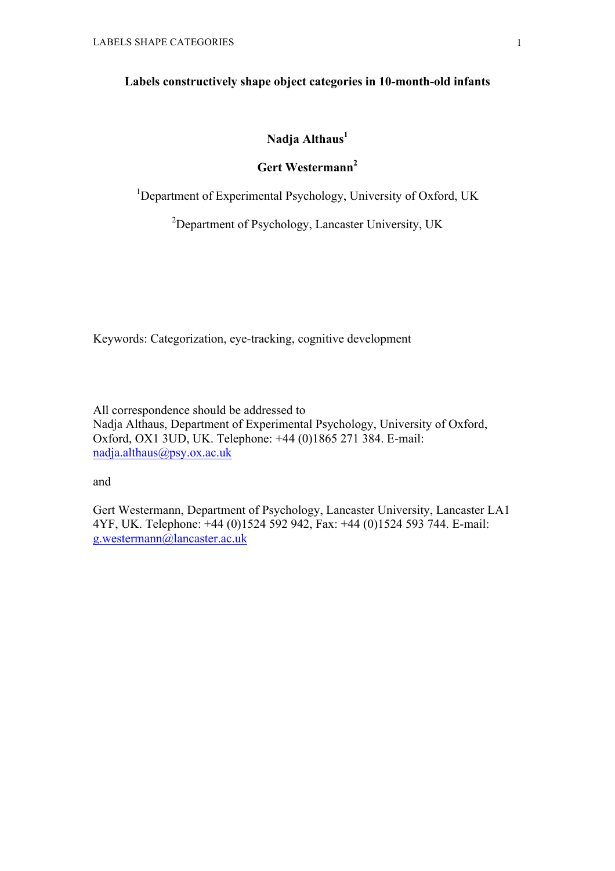## **Labels constructively shape object categories in 10-month-old infants**

## **Nadja Althaus<sup>1</sup>**

## **Gert Westermann<sup>2</sup>**

<sup>1</sup>Department of Experimental Psychology, University of Oxford, UK

<sup>2</sup>Department of Psychology, Lancaster University, UK

Keywords: Categorization, eye-tracking, cognitive development

All correspondence should be addressed to Nadja Althaus, Department of Experimental Psychology, University of Oxford, Oxford, OX1 3UD, UK. Telephone: +44 (0)1865 271 384. E-mail: nadja.althaus@psy.ox.ac.uk

and

Gert Westermann, Department of Psychology, Lancaster University, Lancaster LA1 4YF, UK. Telephone: +44 (0)1524 592 942, Fax: +44 (0)1524 593 744. E-mail: g.westermann@lancaster.ac.uk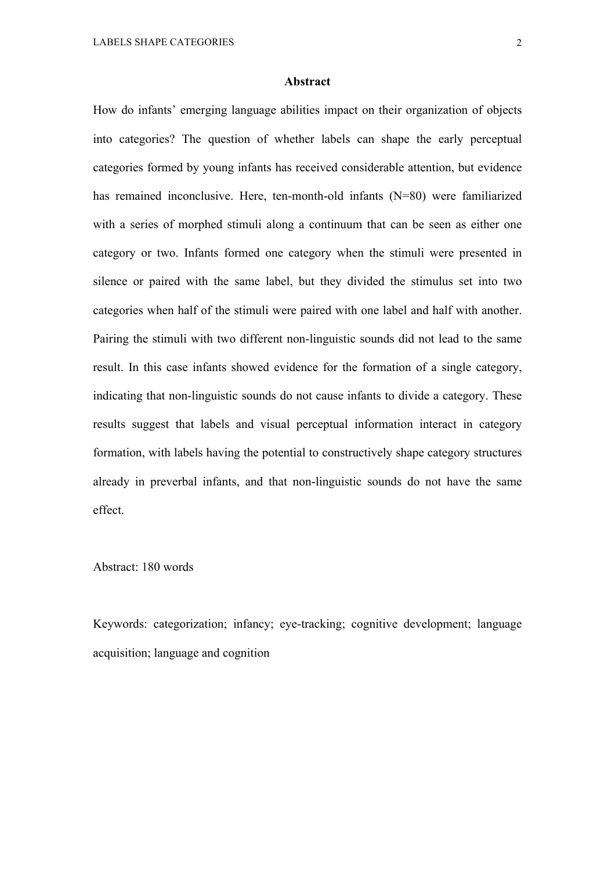#### **Abstract**

How do infants' emerging language abilities impact on their organization of objects into categories? The question of whether labels can shape the early perceptual categories formed by young infants has received considerable attention, but evidence has remained inconclusive. Here, ten-month-old infants (N=80) were familiarized with a series of morphed stimuli along a continuum that can be seen as either one category or two. Infants formed one category when the stimuli were presented in silence or paired with the same label, but they divided the stimulus set into two categories when half of the stimuli were paired with one label and half with another. Pairing the stimuli with two different non-linguistic sounds did not lead to the same result. In this case infants showed evidence for the formation of a single category, indicating that non-linguistic sounds do not cause infants to divide a category. These results suggest that labels and visual perceptual information interact in category formation, with labels having the potential to constructively shape category structures already in preverbal infants, and that non-linguistic sounds do not have the same effect.

#### Abstract: 180 words

Keywords: categorization; infancy; eye-tracking; cognitive development; language acquisition; language and cognition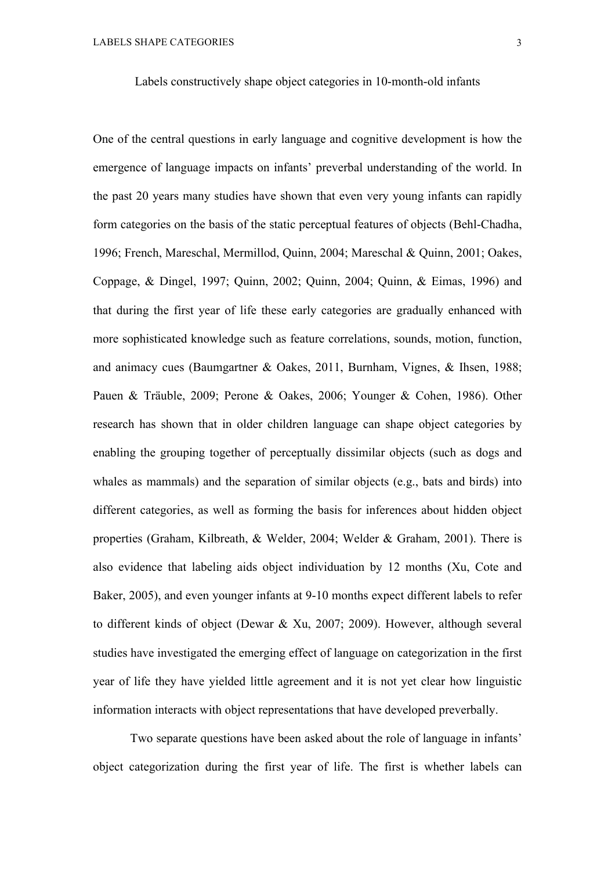Labels constructively shape object categories in 10-month-old infants

One of the central questions in early language and cognitive development is how the emergence of language impacts on infants' preverbal understanding of the world. In the past 20 years many studies have shown that even very young infants can rapidly form categories on the basis of the static perceptual features of objects (Behl-Chadha, 1996; French, Mareschal, Mermillod, Quinn, 2004; Mareschal & Quinn, 2001; Oakes, Coppage, & Dingel, 1997; Quinn, 2002; Quinn, 2004; Quinn, & Eimas, 1996) and that during the first year of life these early categories are gradually enhanced with more sophisticated knowledge such as feature correlations, sounds, motion, function, and animacy cues (Baumgartner & Oakes, 2011, Burnham, Vignes, & Ihsen, 1988; Pauen & Träuble, 2009; Perone & Oakes, 2006; Younger & Cohen, 1986). Other research has shown that in older children language can shape object categories by enabling the grouping together of perceptually dissimilar objects (such as dogs and whales as mammals) and the separation of similar objects (e.g., bats and birds) into different categories, as well as forming the basis for inferences about hidden object properties (Graham, Kilbreath, & Welder, 2004; Welder & Graham, 2001). There is also evidence that labeling aids object individuation by 12 months (Xu, Cote and Baker, 2005), and even younger infants at 9-10 months expect different labels to refer to different kinds of object (Dewar & Xu, 2007; 2009). However, although several studies have investigated the emerging effect of language on categorization in the first year of life they have yielded little agreement and it is not yet clear how linguistic information interacts with object representations that have developed preverbally.

Two separate questions have been asked about the role of language in infants' object categorization during the first year of life. The first is whether labels can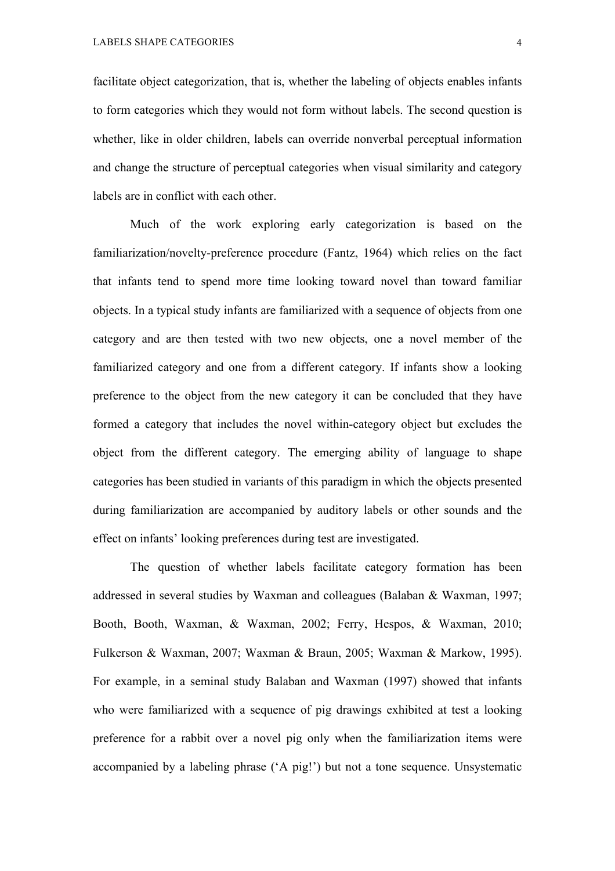facilitate object categorization, that is, whether the labeling of objects enables infants to form categories which they would not form without labels. The second question is whether, like in older children, labels can override nonverbal perceptual information and change the structure of perceptual categories when visual similarity and category labels are in conflict with each other.

Much of the work exploring early categorization is based on the familiarization/novelty-preference procedure (Fantz, 1964) which relies on the fact that infants tend to spend more time looking toward novel than toward familiar objects. In a typical study infants are familiarized with a sequence of objects from one category and are then tested with two new objects, one a novel member of the familiarized category and one from a different category. If infants show a looking preference to the object from the new category it can be concluded that they have formed a category that includes the novel within-category object but excludes the object from the different category. The emerging ability of language to shape categories has been studied in variants of this paradigm in which the objects presented during familiarization are accompanied by auditory labels or other sounds and the effect on infants' looking preferences during test are investigated.

The question of whether labels facilitate category formation has been addressed in several studies by Waxman and colleagues (Balaban & Waxman, 1997; Booth, Booth, Waxman, & Waxman, 2002; Ferry, Hespos, & Waxman, 2010; Fulkerson & Waxman, 2007; Waxman & Braun, 2005; Waxman & Markow, 1995). For example, in a seminal study Balaban and Waxman (1997) showed that infants who were familiarized with a sequence of pig drawings exhibited at test a looking preference for a rabbit over a novel pig only when the familiarization items were accompanied by a labeling phrase ('A pig!') but not a tone sequence. Unsystematic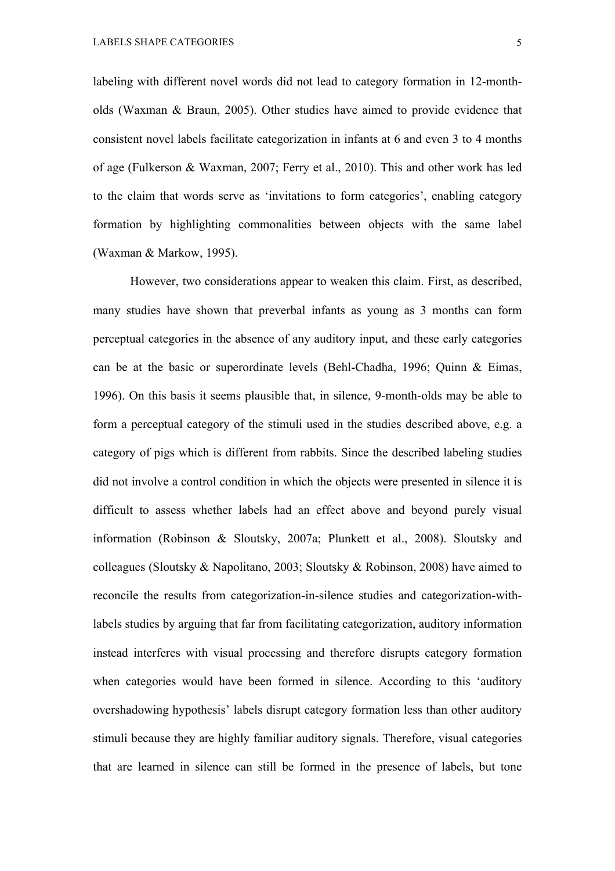labeling with different novel words did not lead to category formation in 12-montholds (Waxman & Braun, 2005). Other studies have aimed to provide evidence that consistent novel labels facilitate categorization in infants at 6 and even 3 to 4 months of age (Fulkerson & Waxman, 2007; Ferry et al., 2010). This and other work has led to the claim that words serve as 'invitations to form categories', enabling category formation by highlighting commonalities between objects with the same label (Waxman & Markow, 1995).

However, two considerations appear to weaken this claim. First, as described, many studies have shown that preverbal infants as young as 3 months can form perceptual categories in the absence of any auditory input, and these early categories can be at the basic or superordinate levels (Behl-Chadha, 1996; Quinn & Eimas, 1996). On this basis it seems plausible that, in silence, 9-month-olds may be able to form a perceptual category of the stimuli used in the studies described above, e.g. a category of pigs which is different from rabbits. Since the described labeling studies did not involve a control condition in which the objects were presented in silence it is difficult to assess whether labels had an effect above and beyond purely visual information (Robinson & Sloutsky, 2007a; Plunkett et al., 2008). Sloutsky and colleagues (Sloutsky & Napolitano, 2003; Sloutsky & Robinson, 2008) have aimed to reconcile the results from categorization-in-silence studies and categorization-withlabels studies by arguing that far from facilitating categorization, auditory information instead interferes with visual processing and therefore disrupts category formation when categories would have been formed in silence. According to this 'auditory overshadowing hypothesis' labels disrupt category formation less than other auditory stimuli because they are highly familiar auditory signals. Therefore, visual categories that are learned in silence can still be formed in the presence of labels, but tone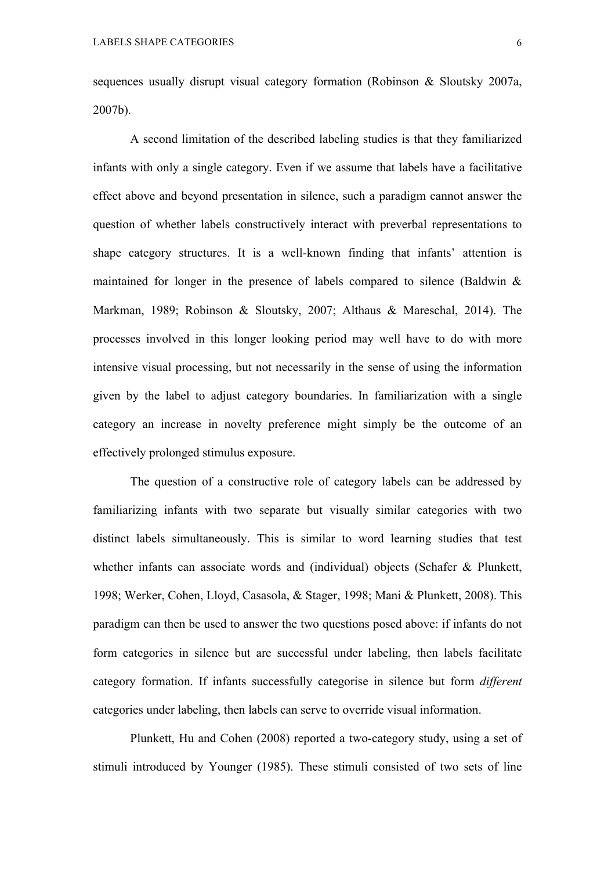sequences usually disrupt visual category formation (Robinson & Sloutsky 2007a, 2007b).

A second limitation of the described labeling studies is that they familiarized infants with only a single category. Even if we assume that labels have a facilitative effect above and beyond presentation in silence, such a paradigm cannot answer the question of whether labels constructively interact with preverbal representations to shape category structures. It is a well-known finding that infants' attention is maintained for longer in the presence of labels compared to silence (Baldwin & Markman, 1989; Robinson & Sloutsky, 2007; Althaus & Mareschal, 2014). The processes involved in this longer looking period may well have to do with more intensive visual processing, but not necessarily in the sense of using the information given by the label to adjust category boundaries. In familiarization with a single category an increase in novelty preference might simply be the outcome of an effectively prolonged stimulus exposure.

The question of a constructive role of category labels can be addressed by familiarizing infants with two separate but visually similar categories with two distinct labels simultaneously. This is similar to word learning studies that test whether infants can associate words and (individual) objects (Schafer & Plunkett, 1998; Werker, Cohen, Lloyd, Casasola, & Stager, 1998; Mani & Plunkett, 2008). This paradigm can then be used to answer the two questions posed above: if infants do not form categories in silence but are successful under labeling, then labels facilitate category formation. If infants successfully categorise in silence but form *different* categories under labeling, then labels can serve to override visual information.

Plunkett, Hu and Cohen (2008) reported a two-category study, using a set of stimuli introduced by Younger (1985). These stimuli consisted of two sets of line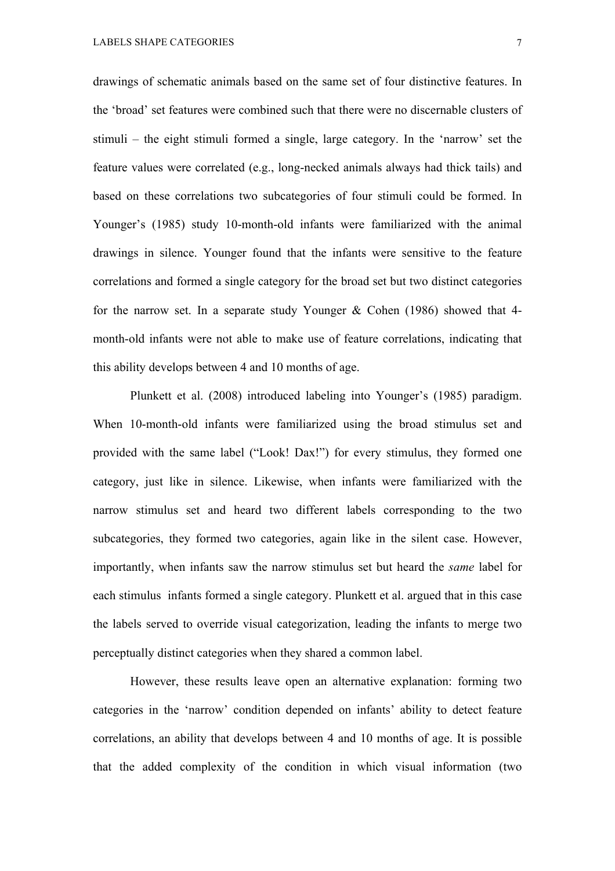drawings of schematic animals based on the same set of four distinctive features. In the 'broad' set features were combined such that there were no discernable clusters of stimuli – the eight stimuli formed a single, large category. In the 'narrow' set the feature values were correlated (e.g., long-necked animals always had thick tails) and based on these correlations two subcategories of four stimuli could be formed. In Younger's (1985) study 10-month-old infants were familiarized with the animal drawings in silence. Younger found that the infants were sensitive to the feature correlations and formed a single category for the broad set but two distinct categories for the narrow set. In a separate study Younger & Cohen (1986) showed that 4 month-old infants were not able to make use of feature correlations, indicating that this ability develops between 4 and 10 months of age.

Plunkett et al. (2008) introduced labeling into Younger's (1985) paradigm. When 10-month-old infants were familiarized using the broad stimulus set and provided with the same label ("Look! Dax!") for every stimulus, they formed one category, just like in silence. Likewise, when infants were familiarized with the narrow stimulus set and heard two different labels corresponding to the two subcategories, they formed two categories, again like in the silent case. However, importantly, when infants saw the narrow stimulus set but heard the *same* label for each stimulus infants formed a single category. Plunkett et al. argued that in this case the labels served to override visual categorization, leading the infants to merge two perceptually distinct categories when they shared a common label.

However, these results leave open an alternative explanation: forming two categories in the 'narrow' condition depended on infants' ability to detect feature correlations, an ability that develops between 4 and 10 months of age. It is possible that the added complexity of the condition in which visual information (two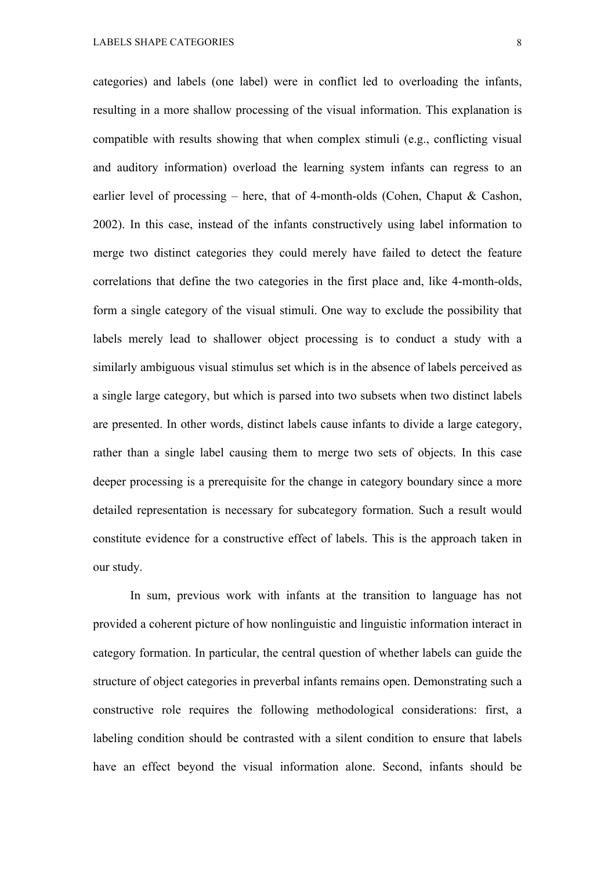categories) and labels (one label) were in conflict led to overloading the infants, resulting in a more shallow processing of the visual information. This explanation is compatible with results showing that when complex stimuli (e.g., conflicting visual and auditory information) overload the learning system infants can regress to an earlier level of processing – here, that of 4-month-olds (Cohen, Chaput & Cashon, 2002). In this case, instead of the infants constructively using label information to merge two distinct categories they could merely have failed to detect the feature correlations that define the two categories in the first place and, like 4-month-olds, form a single category of the visual stimuli. One way to exclude the possibility that labels merely lead to shallower object processing is to conduct a study with a similarly ambiguous visual stimulus set which is in the absence of labels perceived as a single large category, but which is parsed into two subsets when two distinct labels are presented. In other words, distinct labels cause infants to divide a large category, rather than a single label causing them to merge two sets of objects. In this case deeper processing is a prerequisite for the change in category boundary since a more detailed representation is necessary for subcategory formation. Such a result would constitute evidence for a constructive effect of labels. This is the approach taken in our study.

In sum, previous work with infants at the transition to language has not provided a coherent picture of how nonlinguistic and linguistic information interact in category formation. In particular, the central question of whether labels can guide the structure of object categories in preverbal infants remains open. Demonstrating such a constructive role requires the following methodological considerations: first, a labeling condition should be contrasted with a silent condition to ensure that labels have an effect beyond the visual information alone. Second, infants should be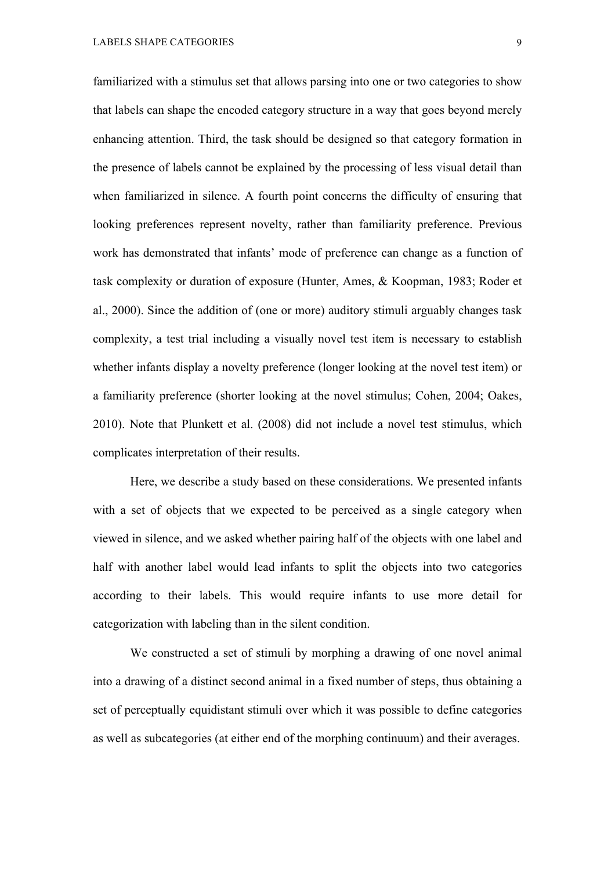familiarized with a stimulus set that allows parsing into one or two categories to show that labels can shape the encoded category structure in a way that goes beyond merely enhancing attention. Third, the task should be designed so that category formation in the presence of labels cannot be explained by the processing of less visual detail than when familiarized in silence. A fourth point concerns the difficulty of ensuring that looking preferences represent novelty, rather than familiarity preference. Previous work has demonstrated that infants' mode of preference can change as a function of task complexity or duration of exposure (Hunter, Ames, & Koopman, 1983; Roder et al., 2000). Since the addition of (one or more) auditory stimuli arguably changes task complexity, a test trial including a visually novel test item is necessary to establish whether infants display a novelty preference (longer looking at the novel test item) or a familiarity preference (shorter looking at the novel stimulus; Cohen, 2004; Oakes, 2010). Note that Plunkett et al. (2008) did not include a novel test stimulus, which complicates interpretation of their results.

Here, we describe a study based on these considerations. We presented infants with a set of objects that we expected to be perceived as a single category when viewed in silence, and we asked whether pairing half of the objects with one label and half with another label would lead infants to split the objects into two categories according to their labels. This would require infants to use more detail for categorization with labeling than in the silent condition.

We constructed a set of stimuli by morphing a drawing of one novel animal into a drawing of a distinct second animal in a fixed number of steps, thus obtaining a set of perceptually equidistant stimuli over which it was possible to define categories as well as subcategories (at either end of the morphing continuum) and their averages.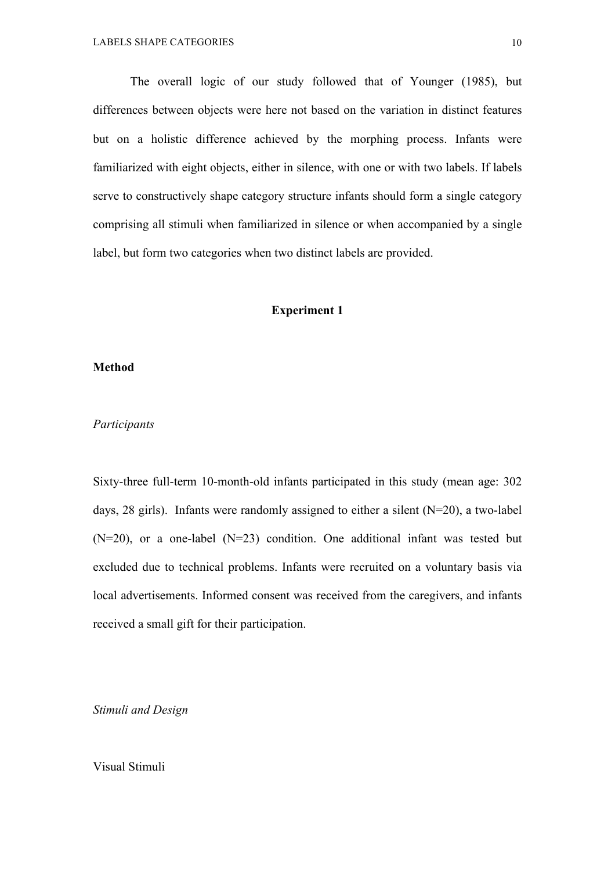The overall logic of our study followed that of Younger (1985), but differences between objects were here not based on the variation in distinct features but on a holistic difference achieved by the morphing process. Infants were familiarized with eight objects, either in silence, with one or with two labels. If labels serve to constructively shape category structure infants should form a single category comprising all stimuli when familiarized in silence or when accompanied by a single label, but form two categories when two distinct labels are provided.

#### **Experiment 1**

## **Method**

## *Participants*

Sixty-three full-term 10-month-old infants participated in this study (mean age: 302 days, 28 girls). Infants were randomly assigned to either a silent (N=20), a two-label  $(N=20)$ , or a one-label  $(N=23)$  condition. One additional infant was tested but excluded due to technical problems. Infants were recruited on a voluntary basis via local advertisements. Informed consent was received from the caregivers, and infants received a small gift for their participation.

*Stimuli and Design*

Visual Stimuli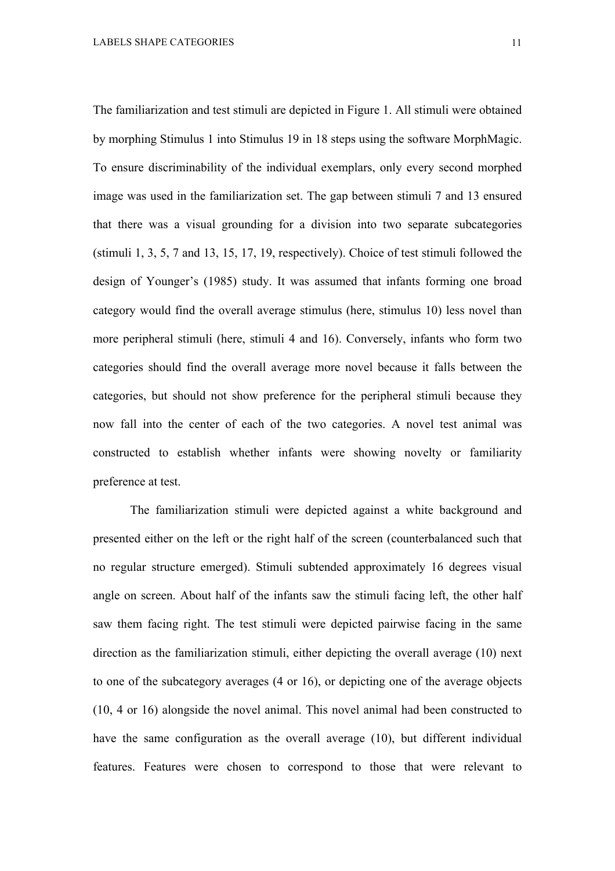The familiarization and test stimuli are depicted in Figure 1. All stimuli were obtained by morphing Stimulus 1 into Stimulus 19 in 18 steps using the software MorphMagic. To ensure discriminability of the individual exemplars, only every second morphed image was used in the familiarization set. The gap between stimuli 7 and 13 ensured that there was a visual grounding for a division into two separate subcategories (stimuli 1, 3, 5, 7 and 13, 15, 17, 19, respectively). Choice of test stimuli followed the design of Younger's (1985) study. It was assumed that infants forming one broad category would find the overall average stimulus (here, stimulus 10) less novel than more peripheral stimuli (here, stimuli 4 and 16). Conversely, infants who form two categories should find the overall average more novel because it falls between the categories, but should not show preference for the peripheral stimuli because they now fall into the center of each of the two categories. A novel test animal was constructed to establish whether infants were showing novelty or familiarity preference at test.

The familiarization stimuli were depicted against a white background and presented either on the left or the right half of the screen (counterbalanced such that no regular structure emerged). Stimuli subtended approximately 16 degrees visual angle on screen. About half of the infants saw the stimuli facing left, the other half saw them facing right. The test stimuli were depicted pairwise facing in the same direction as the familiarization stimuli, either depicting the overall average (10) next to one of the subcategory averages (4 or 16), or depicting one of the average objects (10, 4 or 16) alongside the novel animal. This novel animal had been constructed to have the same configuration as the overall average (10), but different individual features. Features were chosen to correspond to those that were relevant to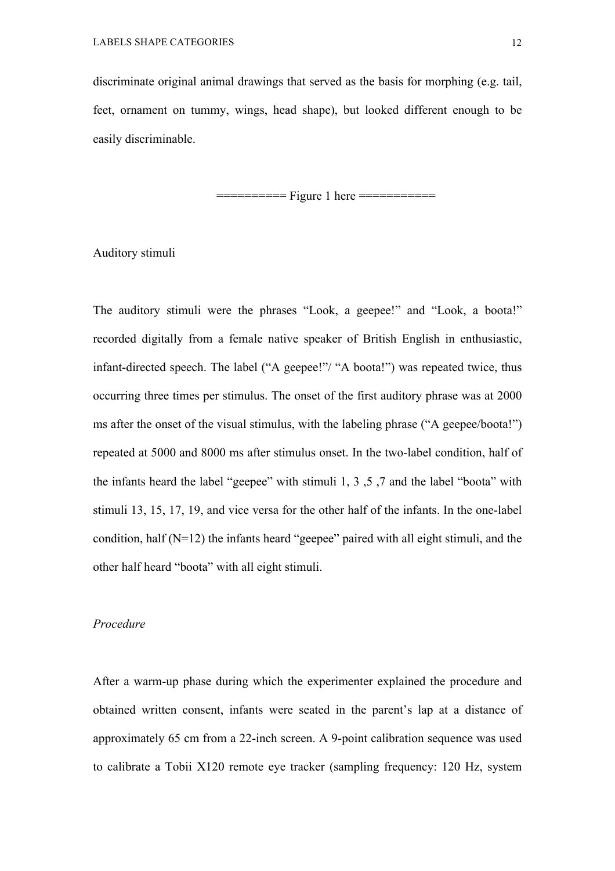discriminate original animal drawings that served as the basis for morphing (e.g. tail, feet, ornament on tummy, wings, head shape), but looked different enough to be easily discriminable.

============= Figure 1 here =============

Auditory stimuli

The auditory stimuli were the phrases "Look, a geepee!" and "Look, a boota!" recorded digitally from a female native speaker of British English in enthusiastic, infant-directed speech. The label ("A geepee!"/ "A boota!") was repeated twice, thus occurring three times per stimulus. The onset of the first auditory phrase was at 2000 ms after the onset of the visual stimulus, with the labeling phrase ("A geepee/boota!") repeated at 5000 and 8000 ms after stimulus onset. In the two-label condition, half of the infants heard the label "geepee" with stimuli 1, 3 ,5 ,7 and the label "boota" with stimuli 13, 15, 17, 19, and vice versa for the other half of the infants. In the one-label condition, half (N=12) the infants heard "geepee" paired with all eight stimuli, and the other half heard "boota" with all eight stimuli.

#### *Procedure*

After a warm-up phase during which the experimenter explained the procedure and obtained written consent, infants were seated in the parent's lap at a distance of approximately 65 cm from a 22-inch screen. A 9-point calibration sequence was used to calibrate a Tobii X120 remote eye tracker (sampling frequency: 120 Hz, system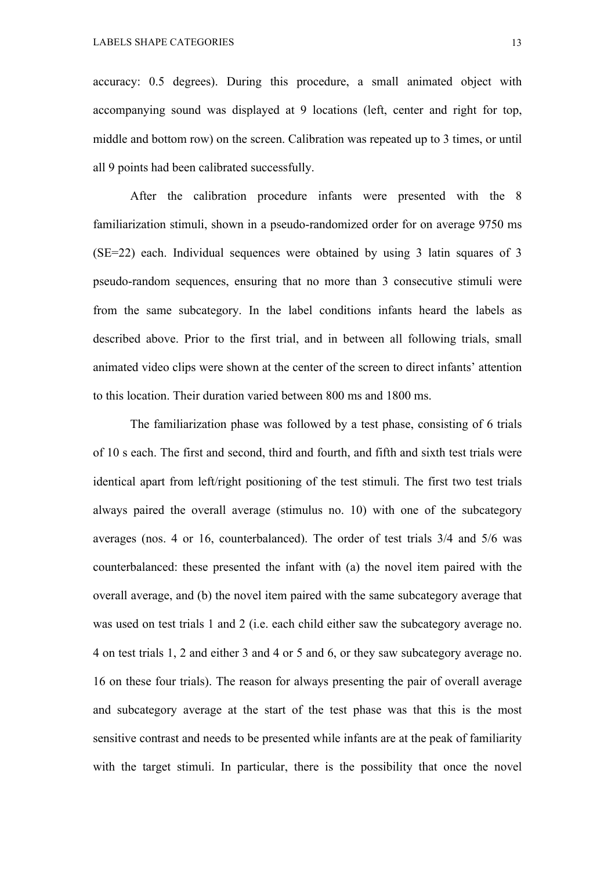accuracy: 0.5 degrees). During this procedure, a small animated object with accompanying sound was displayed at 9 locations (left, center and right for top, middle and bottom row) on the screen. Calibration was repeated up to 3 times, or until all 9 points had been calibrated successfully.

After the calibration procedure infants were presented with the 8 familiarization stimuli, shown in a pseudo-randomized order for on average 9750 ms (SE=22) each. Individual sequences were obtained by using 3 latin squares of 3 pseudo-random sequences, ensuring that no more than 3 consecutive stimuli were from the same subcategory. In the label conditions infants heard the labels as described above. Prior to the first trial, and in between all following trials, small animated video clips were shown at the center of the screen to direct infants' attention to this location. Their duration varied between 800 ms and 1800 ms.

The familiarization phase was followed by a test phase, consisting of 6 trials of 10 s each. The first and second, third and fourth, and fifth and sixth test trials were identical apart from left/right positioning of the test stimuli. The first two test trials always paired the overall average (stimulus no. 10) with one of the subcategory averages (nos. 4 or 16, counterbalanced). The order of test trials 3/4 and 5/6 was counterbalanced: these presented the infant with (a) the novel item paired with the overall average, and (b) the novel item paired with the same subcategory average that was used on test trials 1 and 2 (i.e. each child either saw the subcategory average no. 4 on test trials 1, 2 and either 3 and 4 or 5 and 6, or they saw subcategory average no. 16 on these four trials). The reason for always presenting the pair of overall average and subcategory average at the start of the test phase was that this is the most sensitive contrast and needs to be presented while infants are at the peak of familiarity with the target stimuli. In particular, there is the possibility that once the novel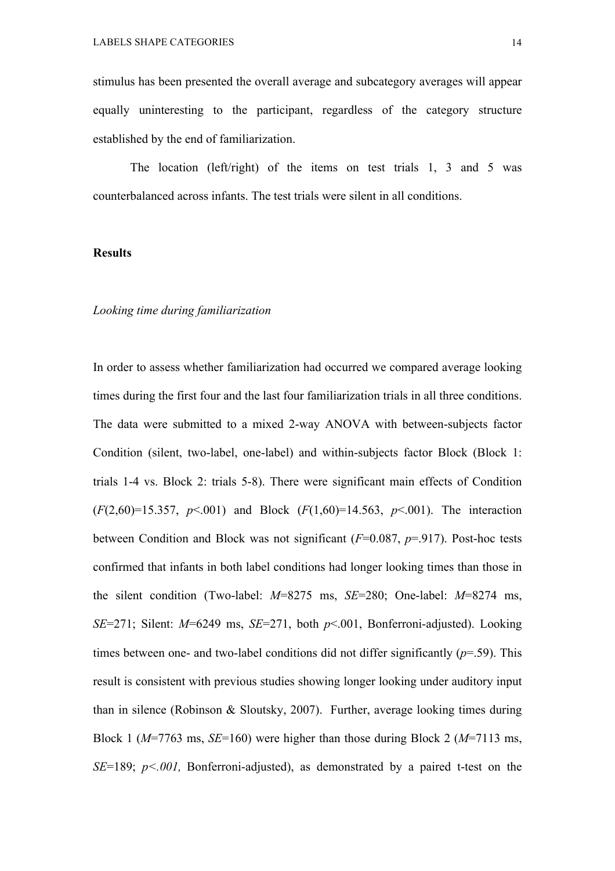stimulus has been presented the overall average and subcategory averages will appear equally uninteresting to the participant, regardless of the category structure established by the end of familiarization.

The location (left/right) of the items on test trials 1, 3 and 5 was counterbalanced across infants. The test trials were silent in all conditions.

### **Results**

#### *Looking time during familiarization*

In order to assess whether familiarization had occurred we compared average looking times during the first four and the last four familiarization trials in all three conditions. The data were submitted to a mixed 2-way ANOVA with between-subjects factor Condition (silent, two-label, one-label) and within-subjects factor Block (Block 1: trials 1-4 vs. Block 2: trials 5-8). There were significant main effects of Condition (*F*(2,60)=15.357, *p*<.001) and Block (*F*(1,60)=14.563, *p*<.001). The interaction between Condition and Block was not significant (*F*=0.087, *p*=.917). Post-hoc tests confirmed that infants in both label conditions had longer looking times than those in the silent condition (Two-label: *M*=8275 ms, *SE*=280; One-label: *M*=8274 ms, *SE*=271; Silent: *M*=6249 ms, *SE*=271, both *p*<.001, Bonferroni-adjusted). Looking times between one- and two-label conditions did not differ significantly  $(p=0.59)$ . This result is consistent with previous studies showing longer looking under auditory input than in silence (Robinson & Sloutsky, 2007). Further, average looking times during Block 1 (*M*=7763 ms, *SE*=160) were higher than those during Block 2 (*M*=7113 ms, *SE*=189; *p<.001,* Bonferroni-adjusted), as demonstrated by a paired t-test on the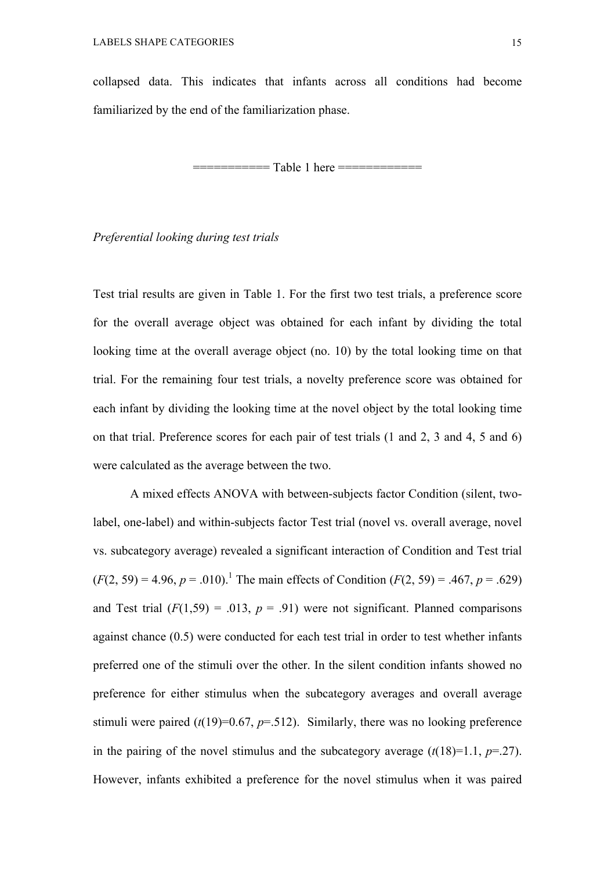collapsed data. This indicates that infants across all conditions had become familiarized by the end of the familiarization phase.

=========== Table 1 here ============

## *Preferential looking during test trials*

Test trial results are given in Table 1. For the first two test trials, a preference score for the overall average object was obtained for each infant by dividing the total looking time at the overall average object (no. 10) by the total looking time on that trial. For the remaining four test trials, a novelty preference score was obtained for each infant by dividing the looking time at the novel object by the total looking time on that trial. Preference scores for each pair of test trials (1 and 2, 3 and 4, 5 and 6) were calculated as the average between the two.

A mixed effects ANOVA with between-subjects factor Condition (silent, twolabel, one-label) and within-subjects factor Test trial (novel vs. overall average, novel vs. subcategory average) revealed a significant interaction of Condition and Test trial  $(F(2, 59) = 4.96, p = .010).$ <sup>1</sup> The main effects of Condition  $(F(2, 59) = .467, p = .629)$ and Test trial  $(F(1,59) = .013, p = .91)$  were not significant. Planned comparisons against chance (0.5) were conducted for each test trial in order to test whether infants preferred one of the stimuli over the other. In the silent condition infants showed no preference for either stimulus when the subcategory averages and overall average stimuli were paired  $(t(19)=0.67, p=.512)$ . Similarly, there was no looking preference in the pairing of the novel stimulus and the subcategory average  $(t(18)=1.1, p=.27)$ . However, infants exhibited a preference for the novel stimulus when it was paired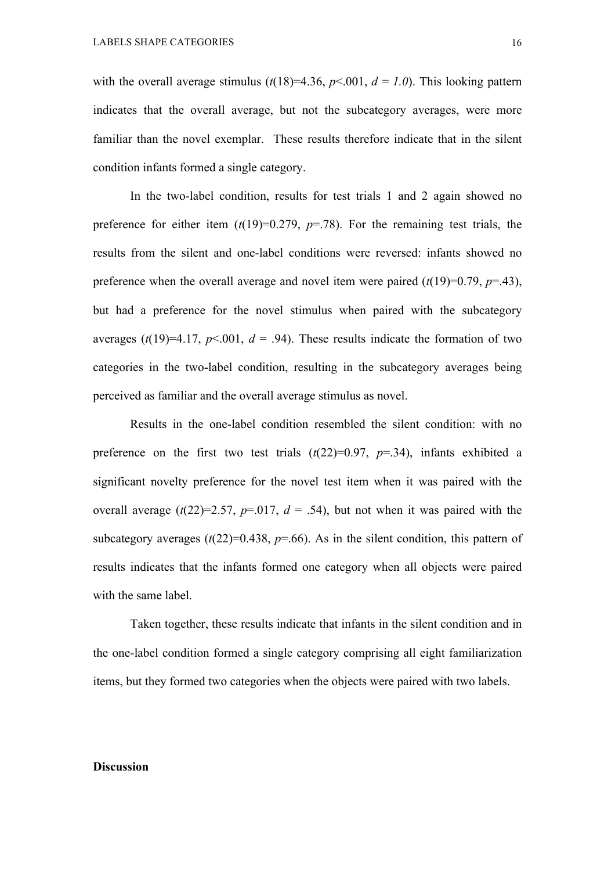with the overall average stimulus  $(t(18)=4.36, p<.001, d = 1.0)$ . This looking pattern indicates that the overall average, but not the subcategory averages, were more familiar than the novel exemplar. These results therefore indicate that in the silent condition infants formed a single category.

In the two-label condition, results for test trials 1 and 2 again showed no preference for either item  $(t(19)=0.279, p=.78)$ . For the remaining test trials, the results from the silent and one-label conditions were reversed: infants showed no preference when the overall average and novel item were paired  $(t(19)=0.79, p=.43)$ , but had a preference for the novel stimulus when paired with the subcategory averages ( $t(19)=4.17$ ,  $p<.001$ ,  $d = .94$ ). These results indicate the formation of two categories in the two-label condition, resulting in the subcategory averages being perceived as familiar and the overall average stimulus as novel.

Results in the one-label condition resembled the silent condition: with no preference on the first two test trials  $(t(22)=0.97, p=.34)$ , infants exhibited a significant novelty preference for the novel test item when it was paired with the overall average  $(t(22)=2.57, p=.017, d = .54)$ , but not when it was paired with the subcategory averages  $(t(22)=0.438, p=.66)$ . As in the silent condition, this pattern of results indicates that the infants formed one category when all objects were paired with the same label.

Taken together, these results indicate that infants in the silent condition and in the one-label condition formed a single category comprising all eight familiarization items, but they formed two categories when the objects were paired with two labels.

## **Discussion**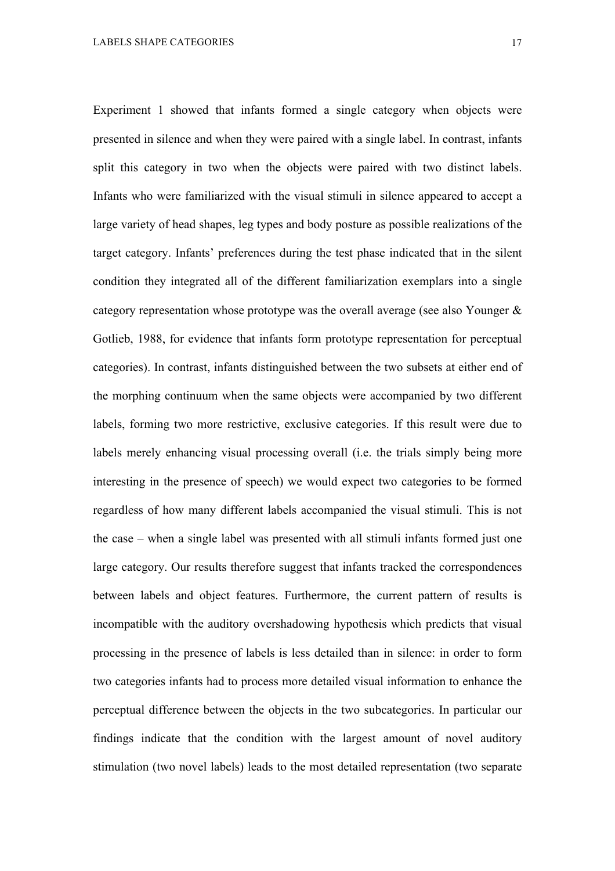Experiment 1 showed that infants formed a single category when objects were presented in silence and when they were paired with a single label. In contrast, infants split this category in two when the objects were paired with two distinct labels. Infants who were familiarized with the visual stimuli in silence appeared to accept a large variety of head shapes, leg types and body posture as possible realizations of the target category. Infants' preferences during the test phase indicated that in the silent condition they integrated all of the different familiarization exemplars into a single category representation whose prototype was the overall average (see also Younger & Gotlieb, 1988, for evidence that infants form prototype representation for perceptual categories). In contrast, infants distinguished between the two subsets at either end of the morphing continuum when the same objects were accompanied by two different labels, forming two more restrictive, exclusive categories. If this result were due to labels merely enhancing visual processing overall (i.e. the trials simply being more interesting in the presence of speech) we would expect two categories to be formed regardless of how many different labels accompanied the visual stimuli. This is not the case – when a single label was presented with all stimuli infants formed just one large category. Our results therefore suggest that infants tracked the correspondences between labels and object features. Furthermore, the current pattern of results is incompatible with the auditory overshadowing hypothesis which predicts that visual processing in the presence of labels is less detailed than in silence: in order to form two categories infants had to process more detailed visual information to enhance the perceptual difference between the objects in the two subcategories. In particular our findings indicate that the condition with the largest amount of novel auditory stimulation (two novel labels) leads to the most detailed representation (two separate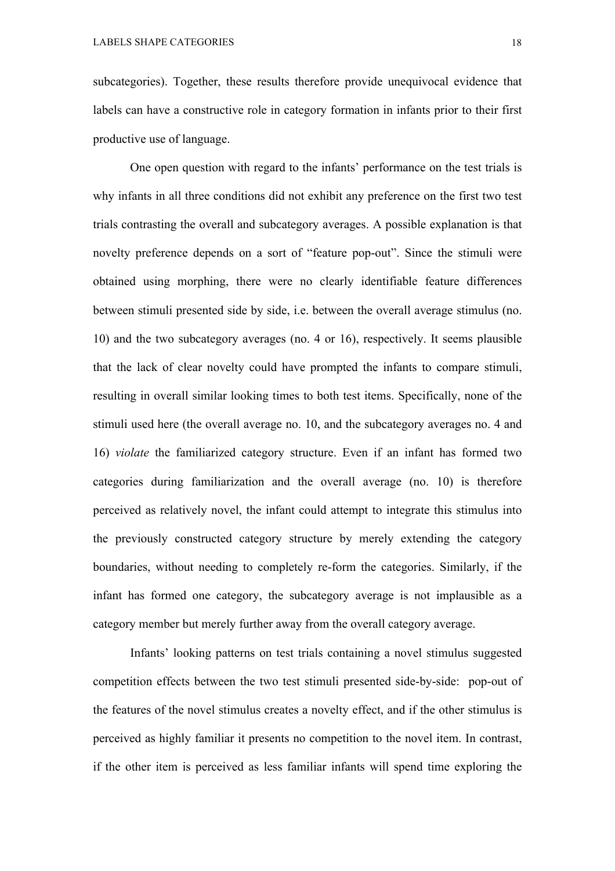subcategories). Together, these results therefore provide unequivocal evidence that labels can have a constructive role in category formation in infants prior to their first productive use of language.

One open question with regard to the infants' performance on the test trials is why infants in all three conditions did not exhibit any preference on the first two test trials contrasting the overall and subcategory averages. A possible explanation is that novelty preference depends on a sort of "feature pop-out". Since the stimuli were obtained using morphing, there were no clearly identifiable feature differences between stimuli presented side by side, i.e. between the overall average stimulus (no. 10) and the two subcategory averages (no. 4 or 16), respectively. It seems plausible that the lack of clear novelty could have prompted the infants to compare stimuli, resulting in overall similar looking times to both test items. Specifically, none of the stimuli used here (the overall average no. 10, and the subcategory averages no. 4 and 16) *violate* the familiarized category structure. Even if an infant has formed two categories during familiarization and the overall average (no. 10) is therefore perceived as relatively novel, the infant could attempt to integrate this stimulus into the previously constructed category structure by merely extending the category boundaries, without needing to completely re-form the categories. Similarly, if the infant has formed one category, the subcategory average is not implausible as a category member but merely further away from the overall category average.

Infants' looking patterns on test trials containing a novel stimulus suggested competition effects between the two test stimuli presented side-by-side: pop-out of the features of the novel stimulus creates a novelty effect, and if the other stimulus is perceived as highly familiar it presents no competition to the novel item. In contrast, if the other item is perceived as less familiar infants will spend time exploring the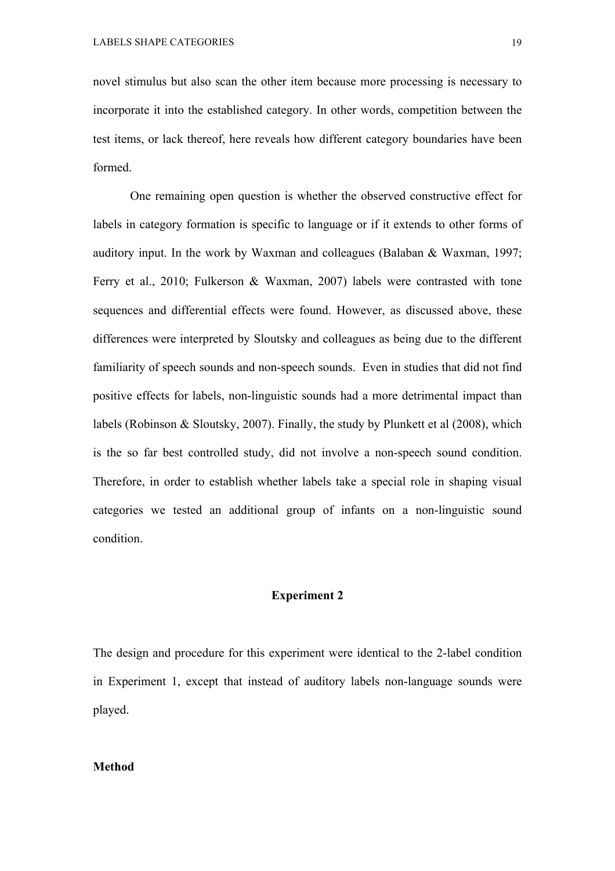novel stimulus but also scan the other item because more processing is necessary to incorporate it into the established category. In other words, competition between the test items, or lack thereof, here reveals how different category boundaries have been formed.

One remaining open question is whether the observed constructive effect for labels in category formation is specific to language or if it extends to other forms of auditory input. In the work by Waxman and colleagues (Balaban & Waxman, 1997; Ferry et al., 2010; Fulkerson & Waxman, 2007) labels were contrasted with tone sequences and differential effects were found. However, as discussed above, these differences were interpreted by Sloutsky and colleagues as being due to the different familiarity of speech sounds and non-speech sounds. Even in studies that did not find positive effects for labels, non-linguistic sounds had a more detrimental impact than labels (Robinson & Sloutsky, 2007). Finally, the study by Plunkett et al (2008), which is the so far best controlled study, did not involve a non-speech sound condition. Therefore, in order to establish whether labels take a special role in shaping visual categories we tested an additional group of infants on a non-linguistic sound condition.

## **Experiment 2**

The design and procedure for this experiment were identical to the 2-label condition in Experiment 1, except that instead of auditory labels non-language sounds were played.

### **Method**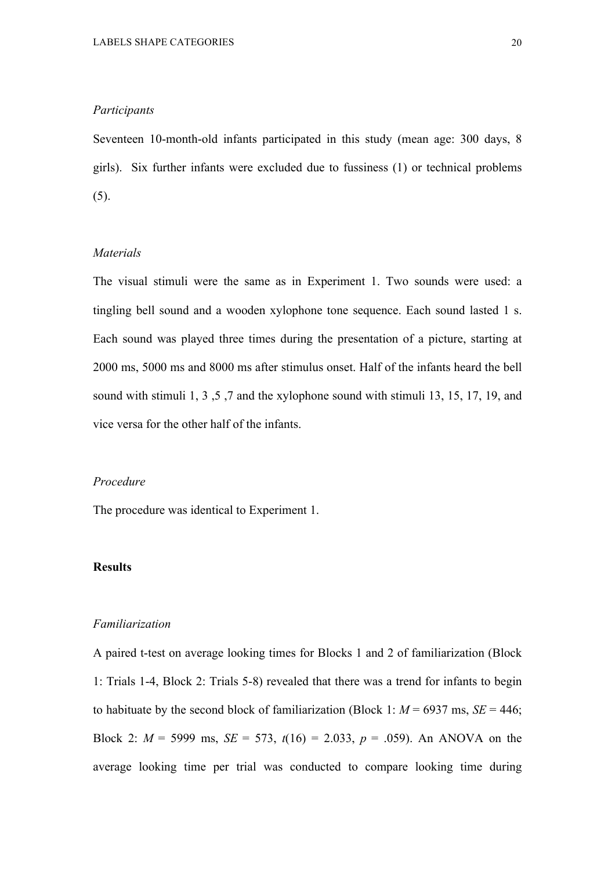## *Participants*

Seventeen 10-month-old infants participated in this study (mean age: 300 days, 8 girls). Six further infants were excluded due to fussiness (1) or technical problems (5).

## *Materials*

The visual stimuli were the same as in Experiment 1. Two sounds were used: a tingling bell sound and a wooden xylophone tone sequence. Each sound lasted 1 s. Each sound was played three times during the presentation of a picture, starting at 2000 ms, 5000 ms and 8000 ms after stimulus onset. Half of the infants heard the bell sound with stimuli 1, 3 ,5 ,7 and the xylophone sound with stimuli 13, 15, 17, 19, and vice versa for the other half of the infants.

## *Procedure*

The procedure was identical to Experiment 1.

#### **Results**

#### *Familiarization*

A paired t-test on average looking times for Blocks 1 and 2 of familiarization (Block 1: Trials 1-4, Block 2: Trials 5-8) revealed that there was a trend for infants to begin to habituate by the second block of familiarization (Block 1:  $M = 6937$  ms,  $SE = 446$ ; Block 2:  $M = 5999$  ms,  $SE = 573$ ,  $t(16) = 2.033$ ,  $p = .059$ ). An ANOVA on the average looking time per trial was conducted to compare looking time during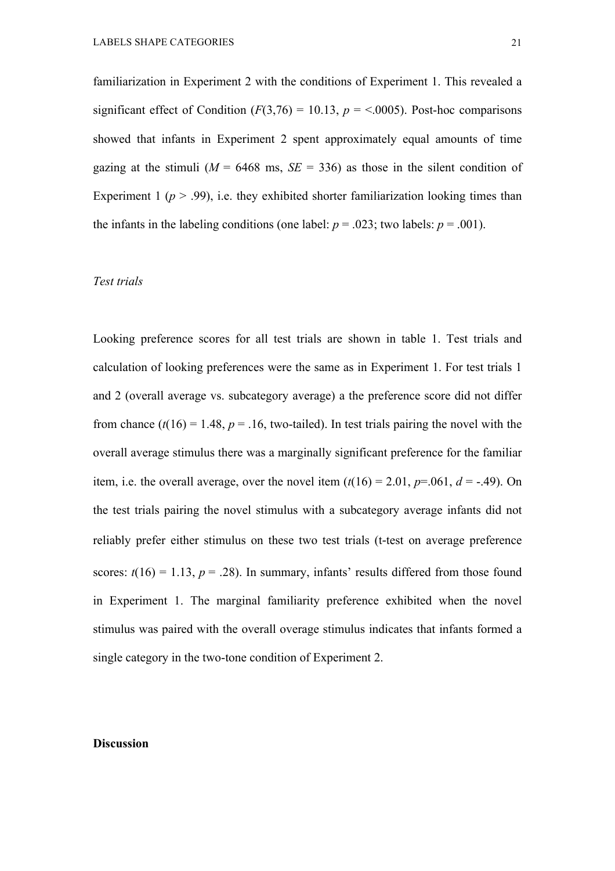familiarization in Experiment 2 with the conditions of Experiment 1. This revealed a significant effect of Condition  $(F(3,76) = 10.13, p = 0.0005)$ . Post-hoc comparisons showed that infants in Experiment 2 spent approximately equal amounts of time gazing at the stimuli ( $M = 6468$  ms,  $SE = 336$ ) as those in the silent condition of Experiment 1 ( $p > .99$ ), i.e. they exhibited shorter familiarization looking times than the infants in the labeling conditions (one label:  $p = .023$ ; two labels:  $p = .001$ ).

## *Test trials*

Looking preference scores for all test trials are shown in table 1. Test trials and calculation of looking preferences were the same as in Experiment 1. For test trials 1 and 2 (overall average vs. subcategory average) a the preference score did not differ from chance  $(t(16) = 1.48, p = .16$ , two-tailed). In test trials pairing the novel with the overall average stimulus there was a marginally significant preference for the familiar item, i.e. the overall average, over the novel item  $(t(16) = 2.01, p=0.061, d = -0.49)$ . On the test trials pairing the novel stimulus with a subcategory average infants did not reliably prefer either stimulus on these two test trials (t-test on average preference scores:  $t(16) = 1.13$ ,  $p = .28$ ). In summary, infants' results differed from those found in Experiment 1. The marginal familiarity preference exhibited when the novel stimulus was paired with the overall overage stimulus indicates that infants formed a single category in the two-tone condition of Experiment 2.

### **Discussion**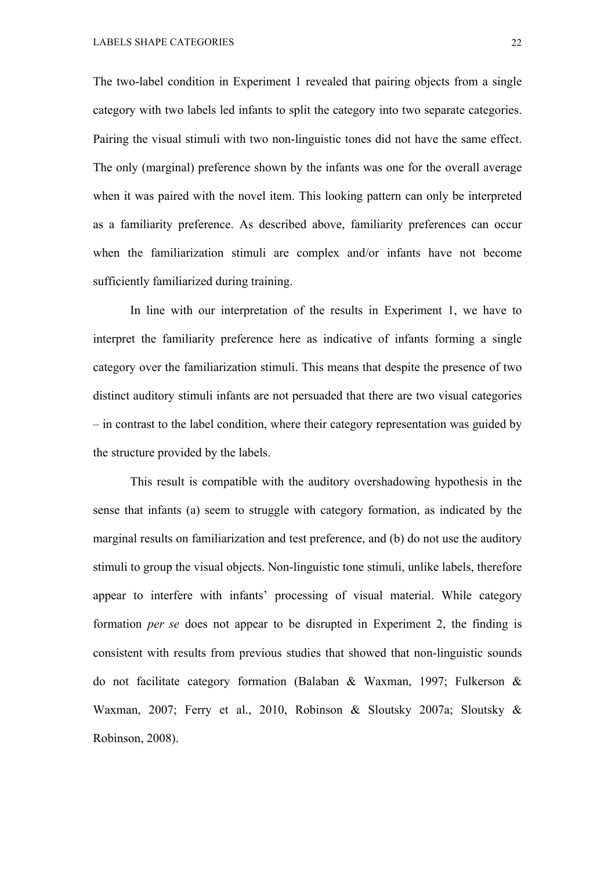The two-label condition in Experiment 1 revealed that pairing objects from a single category with two labels led infants to split the category into two separate categories. Pairing the visual stimuli with two non-linguistic tones did not have the same effect. The only (marginal) preference shown by the infants was one for the overall average when it was paired with the novel item. This looking pattern can only be interpreted as a familiarity preference. As described above, familiarity preferences can occur when the familiarization stimuli are complex and/or infants have not become sufficiently familiarized during training.

In line with our interpretation of the results in Experiment 1, we have to interpret the familiarity preference here as indicative of infants forming a single category over the familiarization stimuli. This means that despite the presence of two distinct auditory stimuli infants are not persuaded that there are two visual categories – in contrast to the label condition, where their category representation was guided by the structure provided by the labels.

This result is compatible with the auditory overshadowing hypothesis in the sense that infants (a) seem to struggle with category formation, as indicated by the marginal results on familiarization and test preference, and (b) do not use the auditory stimuli to group the visual objects. Non-linguistic tone stimuli, unlike labels, therefore appear to interfere with infants' processing of visual material. While category formation *per se* does not appear to be disrupted in Experiment 2, the finding is consistent with results from previous studies that showed that non-linguistic sounds do not facilitate category formation (Balaban & Waxman, 1997; Fulkerson & Waxman, 2007; Ferry et al., 2010, Robinson & Sloutsky 2007a; Sloutsky & Robinson, 2008).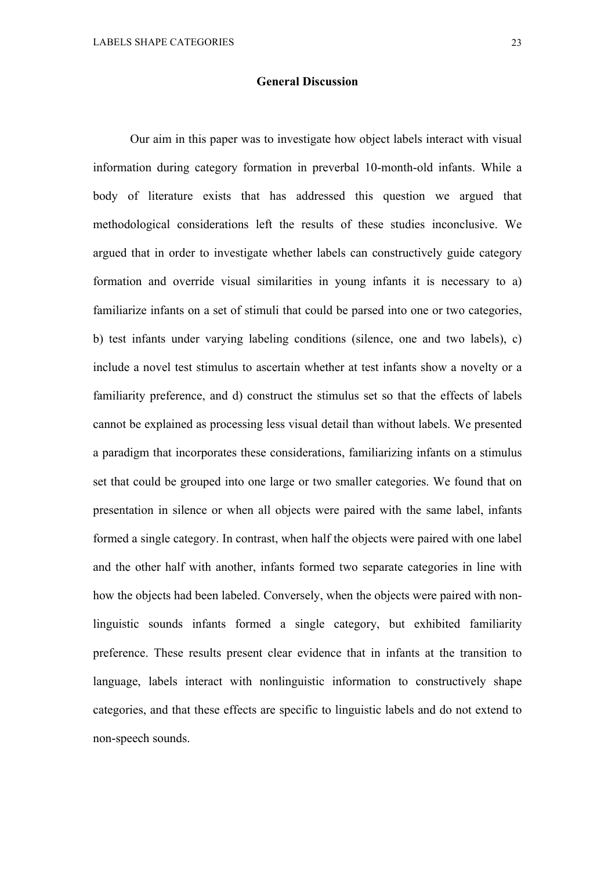#### **General Discussion**

Our aim in this paper was to investigate how object labels interact with visual information during category formation in preverbal 10-month-old infants. While a body of literature exists that has addressed this question we argued that methodological considerations left the results of these studies inconclusive. We argued that in order to investigate whether labels can constructively guide category formation and override visual similarities in young infants it is necessary to a) familiarize infants on a set of stimuli that could be parsed into one or two categories, b) test infants under varying labeling conditions (silence, one and two labels), c) include a novel test stimulus to ascertain whether at test infants show a novelty or a familiarity preference, and d) construct the stimulus set so that the effects of labels cannot be explained as processing less visual detail than without labels. We presented a paradigm that incorporates these considerations, familiarizing infants on a stimulus set that could be grouped into one large or two smaller categories. We found that on presentation in silence or when all objects were paired with the same label, infants formed a single category. In contrast, when half the objects were paired with one label and the other half with another, infants formed two separate categories in line with how the objects had been labeled. Conversely, when the objects were paired with nonlinguistic sounds infants formed a single category, but exhibited familiarity preference. These results present clear evidence that in infants at the transition to language, labels interact with nonlinguistic information to constructively shape categories, and that these effects are specific to linguistic labels and do not extend to non-speech sounds.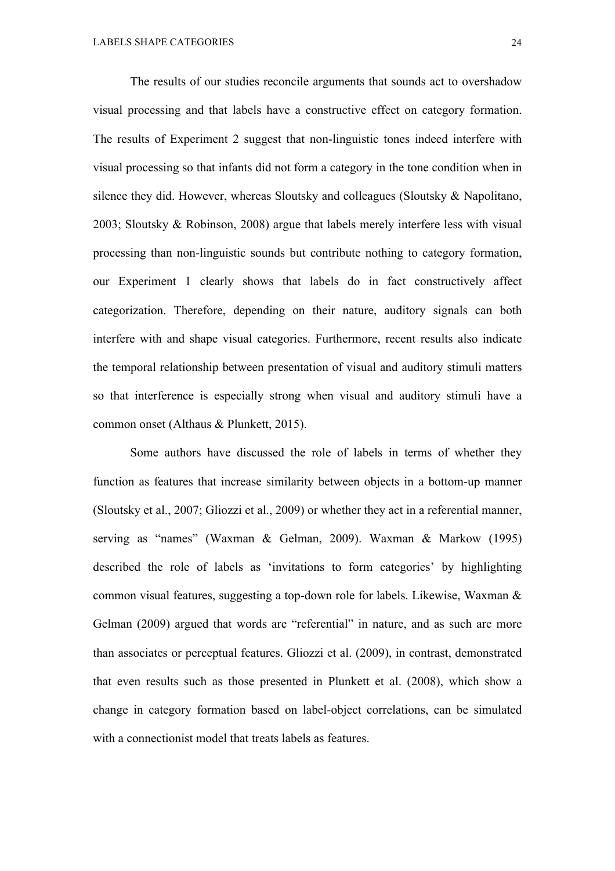The results of our studies reconcile arguments that sounds act to overshadow visual processing and that labels have a constructive effect on category formation. The results of Experiment 2 suggest that non-linguistic tones indeed interfere with visual processing so that infants did not form a category in the tone condition when in silence they did. However, whereas Sloutsky and colleagues (Sloutsky & Napolitano, 2003; Sloutsky & Robinson, 2008) argue that labels merely interfere less with visual processing than non-linguistic sounds but contribute nothing to category formation, our Experiment 1 clearly shows that labels do in fact constructively affect categorization. Therefore, depending on their nature, auditory signals can both interfere with and shape visual categories. Furthermore, recent results also indicate the temporal relationship between presentation of visual and auditory stimuli matters so that interference is especially strong when visual and auditory stimuli have a common onset (Althaus & Plunkett, 2015).

Some authors have discussed the role of labels in terms of whether they function as features that increase similarity between objects in a bottom-up manner (Sloutsky et al., 2007; Gliozzi et al., 2009) or whether they act in a referential manner, serving as "names" (Waxman & Gelman, 2009). Waxman & Markow (1995) described the role of labels as 'invitations to form categories' by highlighting common visual features, suggesting a top-down role for labels. Likewise, Waxman & Gelman (2009) argued that words are "referential" in nature, and as such are more than associates or perceptual features. Gliozzi et al. (2009), in contrast, demonstrated that even results such as those presented in Plunkett et al. (2008), which show a change in category formation based on label-object correlations, can be simulated with a connectionist model that treats labels as features.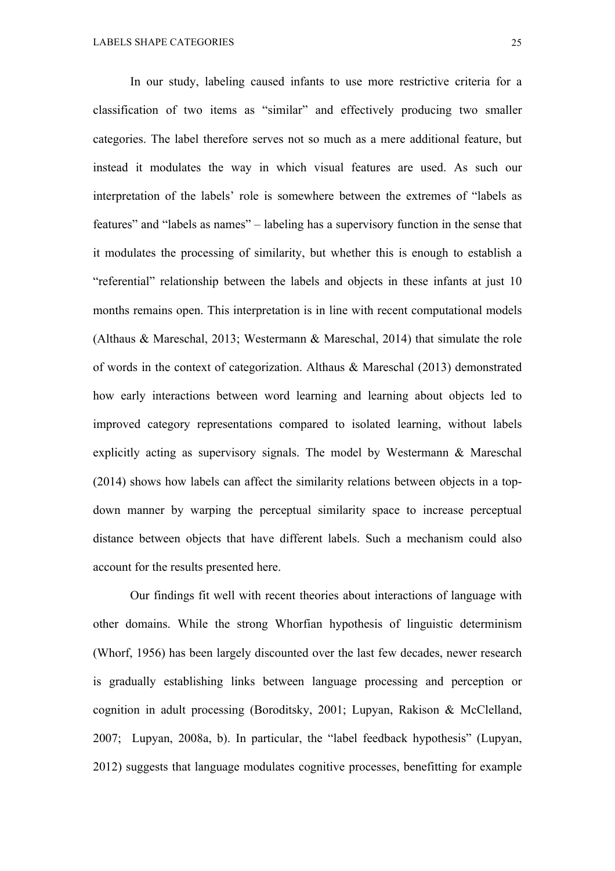In our study, labeling caused infants to use more restrictive criteria for a classification of two items as "similar" and effectively producing two smaller categories. The label therefore serves not so much as a mere additional feature, but instead it modulates the way in which visual features are used. As such our interpretation of the labels' role is somewhere between the extremes of "labels as features" and "labels as names" – labeling has a supervisory function in the sense that it modulates the processing of similarity, but whether this is enough to establish a "referential" relationship between the labels and objects in these infants at just 10 months remains open. This interpretation is in line with recent computational models (Althaus & Mareschal, 2013; Westermann & Mareschal, 2014) that simulate the role of words in the context of categorization. Althaus & Mareschal (2013) demonstrated how early interactions between word learning and learning about objects led to improved category representations compared to isolated learning, without labels explicitly acting as supervisory signals. The model by Westermann & Mareschal (2014) shows how labels can affect the similarity relations between objects in a topdown manner by warping the perceptual similarity space to increase perceptual distance between objects that have different labels. Such a mechanism could also account for the results presented here.

Our findings fit well with recent theories about interactions of language with other domains. While the strong Whorfian hypothesis of linguistic determinism (Whorf, 1956) has been largely discounted over the last few decades, newer research is gradually establishing links between language processing and perception or cognition in adult processing (Boroditsky, 2001; Lupyan, Rakison & McClelland, 2007; Lupyan, 2008a, b). In particular, the "label feedback hypothesis" (Lupyan, 2012) suggests that language modulates cognitive processes, benefitting for example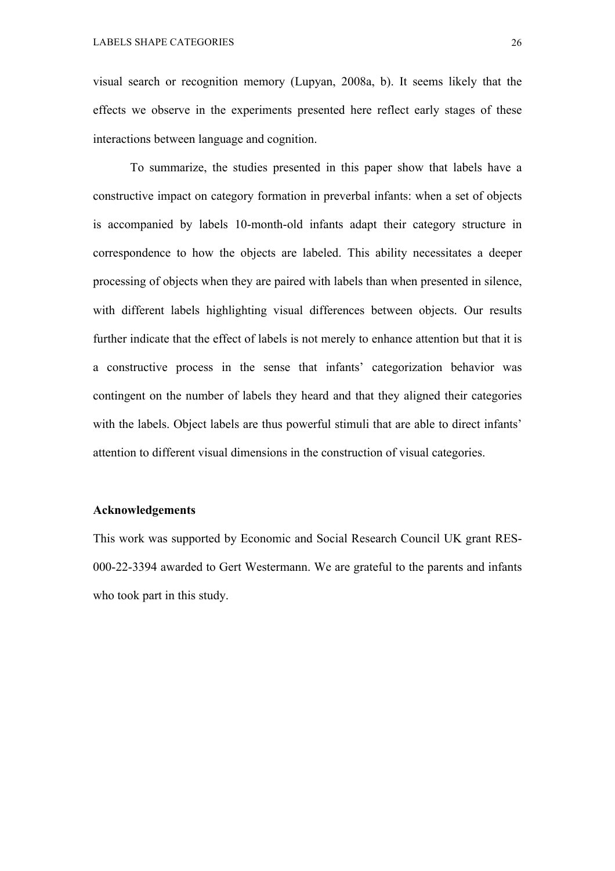visual search or recognition memory (Lupyan, 2008a, b). It seems likely that the effects we observe in the experiments presented here reflect early stages of these interactions between language and cognition.

To summarize, the studies presented in this paper show that labels have a constructive impact on category formation in preverbal infants: when a set of objects is accompanied by labels 10-month-old infants adapt their category structure in correspondence to how the objects are labeled. This ability necessitates a deeper processing of objects when they are paired with labels than when presented in silence, with different labels highlighting visual differences between objects. Our results further indicate that the effect of labels is not merely to enhance attention but that it is a constructive process in the sense that infants' categorization behavior was contingent on the number of labels they heard and that they aligned their categories with the labels. Object labels are thus powerful stimuli that are able to direct infants' attention to different visual dimensions in the construction of visual categories.

## **Acknowledgements**

This work was supported by Economic and Social Research Council UK grant RES-000-22-3394 awarded to Gert Westermann. We are grateful to the parents and infants who took part in this study.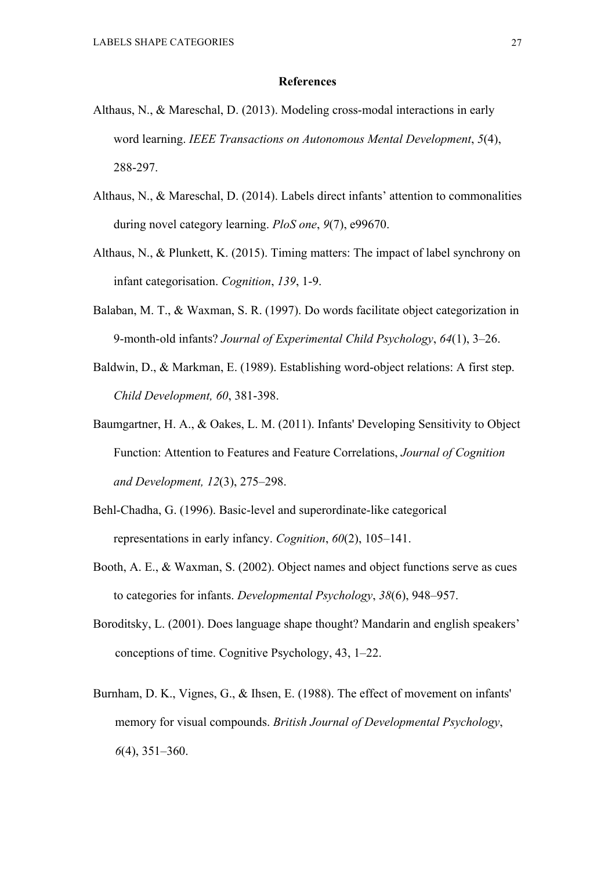#### **References**

- Althaus, N., & Mareschal, D. (2013). Modeling cross-modal interactions in early word learning. *IEEE Transactions on Autonomous Mental Development*, *5*(4), 288-297.
- Althaus, N., & Mareschal, D. (2014). Labels direct infants' attention to commonalities during novel category learning. *PloS one*, *9*(7), e99670.
- Althaus, N., & Plunkett, K. (2015). Timing matters: The impact of label synchrony on infant categorisation. *Cognition*, *139*, 1-9.
- Balaban, M. T., & Waxman, S. R. (1997). Do words facilitate object categorization in 9-month-old infants? *Journal of Experimental Child Psychology*, *64*(1), 3–26.
- Baldwin, D., & Markman, E. (1989). Establishing word-object relations: A first step. *Child Development, 60*, 381-398.
- Baumgartner, H. A., & Oakes, L. M. (2011). Infants' Developing Sensitivity to Object Function: Attention to Features and Feature Correlations, *Journal of Cognition and Development, 12*(3), 275–298.
- Behl-Chadha, G. (1996). Basic-level and superordinate-like categorical representations in early infancy. *Cognition*, *60*(2), 105–141.
- Booth, A. E., & Waxman, S. (2002). Object names and object functions serve as cues to categories for infants. *Developmental Psychology*, *38*(6), 948–957.
- Boroditsky, L. (2001). Does language shape thought? Mandarin and english speakers' conceptions of time. Cognitive Psychology, 43, 1–22.
- Burnham, D. K., Vignes, G., & Ihsen, E. (1988). The effect of movement on infants' memory for visual compounds. *British Journal of Developmental Psychology*, *6*(4), 351–360.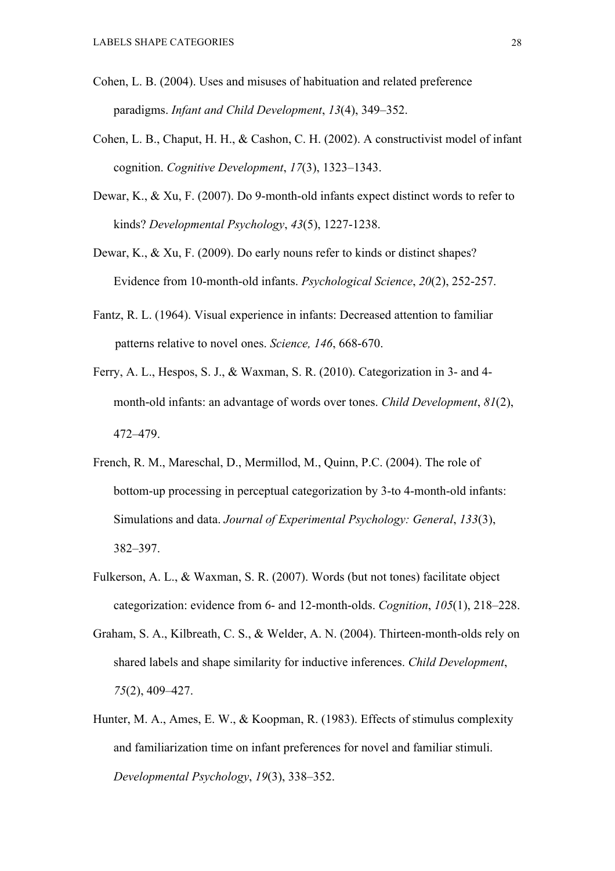- Cohen, L. B. (2004). Uses and misuses of habituation and related preference paradigms. *Infant and Child Development*, *13*(4), 349–352.
- Cohen, L. B., Chaput, H. H., & Cashon, C. H. (2002). A constructivist model of infant cognition. *Cognitive Development*, *17*(3), 1323–1343.
- Dewar, K., & Xu, F. (2007). Do 9-month-old infants expect distinct words to refer to kinds? *Developmental Psychology*, *43*(5), 1227-1238.
- Dewar, K., & Xu, F. (2009). Do early nouns refer to kinds or distinct shapes? Evidence from 10-month-old infants. *Psychological Science*, *20*(2), 252-257.
- Fantz, R. L. (1964). Visual experience in infants: Decreased attention to familiar patterns relative to novel ones. *Science, 146*, 668-670.
- Ferry, A. L., Hespos, S. J., & Waxman, S. R. (2010). Categorization in 3- and 4 month-old infants: an advantage of words over tones. *Child Development*, *81*(2), 472–479.
- French, R. M., Mareschal, D., Mermillod, M., Quinn, P.C. (2004). The role of bottom-up processing in perceptual categorization by 3-to 4-month-old infants: Simulations and data. *Journal of Experimental Psychology: General*, *133*(3), 382–397.
- Fulkerson, A. L., & Waxman, S. R. (2007). Words (but not tones) facilitate object categorization: evidence from 6- and 12-month-olds. *Cognition*, *105*(1), 218–228.
- Graham, S. A., Kilbreath, C. S., & Welder, A. N. (2004). Thirteen-month-olds rely on shared labels and shape similarity for inductive inferences. *Child Development*, *75*(2), 409–427.
- Hunter, M. A., Ames, E. W., & Koopman, R. (1983). Effects of stimulus complexity and familiarization time on infant preferences for novel and familiar stimuli. *Developmental Psychology*, *19*(3), 338–352.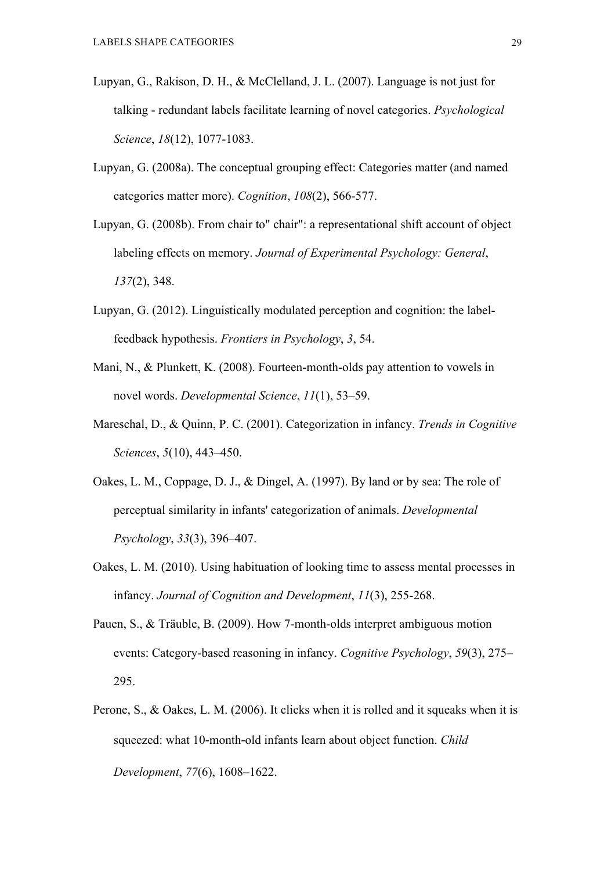- Lupyan, G., Rakison, D. H., & McClelland, J. L. (2007). Language is not just for talking - redundant labels facilitate learning of novel categories. *Psychological Science*, *18*(12), 1077-1083.
- Lupyan, G. (2008a). The conceptual grouping effect: Categories matter (and named categories matter more). *Cognition*, *108*(2), 566-577.
- Lupyan, G. (2008b). From chair to" chair": a representational shift account of object labeling effects on memory. *Journal of Experimental Psychology: General*, *137*(2), 348.
- Lupyan, G. (2012). Linguistically modulated perception and cognition: the labelfeedback hypothesis. *Frontiers in Psychology*, *3*, 54.
- Mani, N., & Plunkett, K. (2008). Fourteen-month-olds pay attention to vowels in novel words. *Developmental Science*, *11*(1), 53–59.
- Mareschal, D., & Quinn, P. C. (2001). Categorization in infancy. *Trends in Cognitive Sciences*, *5*(10), 443–450.
- Oakes, L. M., Coppage, D. J., & Dingel, A. (1997). By land or by sea: The role of perceptual similarity in infants' categorization of animals. *Developmental Psychology*, *33*(3), 396–407.
- Oakes, L. M. (2010). Using habituation of looking time to assess mental processes in infancy. *Journal of Cognition and Development*, *11*(3), 255-268.
- Pauen, S., & Träuble, B. (2009). How 7-month-olds interpret ambiguous motion events: Category-based reasoning in infancy. *Cognitive Psychology*, *59*(3), 275– 295.
- Perone, S., & Oakes, L. M. (2006). It clicks when it is rolled and it squeaks when it is squeezed: what 10-month-old infants learn about object function. *Child Development*, *77*(6), 1608–1622.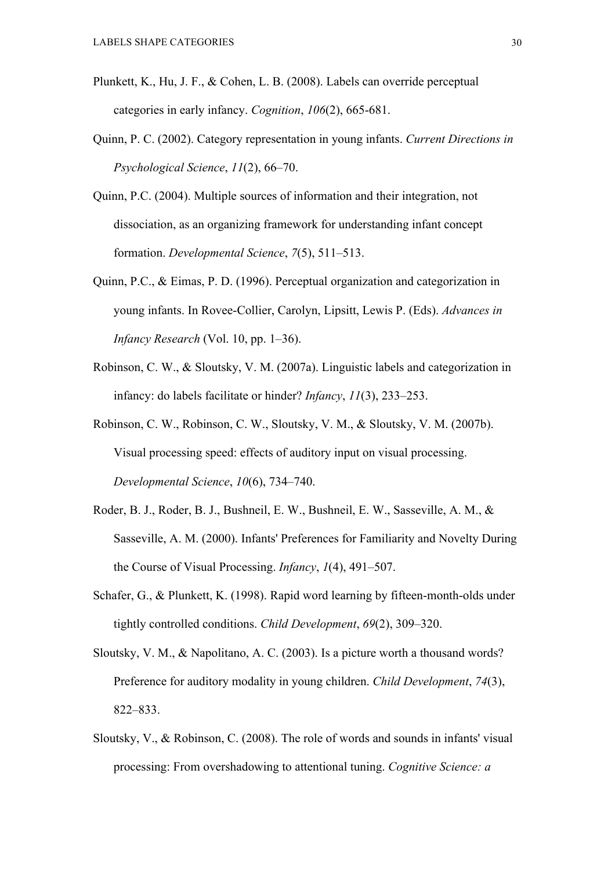- Plunkett, K., Hu, J. F., & Cohen, L. B. (2008). Labels can override perceptual categories in early infancy. *Cognition*, *106*(2), 665-681.
- Quinn, P. C. (2002). Category representation in young infants. *Current Directions in Psychological Science*, *11*(2), 66–70.
- Quinn, P.C. (2004). Multiple sources of information and their integration, not dissociation, as an organizing framework for understanding infant concept formation. *Developmental Science*, *7*(5), 511–513.
- Quinn, P.C., & Eimas, P. D. (1996). Perceptual organization and categorization in young infants. In Rovee-Collier, Carolyn, Lipsitt, Lewis P. (Eds). *Advances in Infancy Research* (Vol. 10, pp. 1–36).
- Robinson, C. W., & Sloutsky, V. M. (2007a). Linguistic labels and categorization in infancy: do labels facilitate or hinder? *Infancy*, *11*(3), 233–253.
- Robinson, C. W., Robinson, C. W., Sloutsky, V. M., & Sloutsky, V. M. (2007b). Visual processing speed: effects of auditory input on visual processing. *Developmental Science*, *10*(6), 734–740.
- Roder, B. J., Roder, B. J., Bushneil, E. W., Bushneil, E. W., Sasseville, A. M., & Sasseville, A. M. (2000). Infants' Preferences for Familiarity and Novelty During the Course of Visual Processing. *Infancy*, *1*(4), 491–507.
- Schafer, G., & Plunkett, K. (1998). Rapid word learning by fifteen-month-olds under tightly controlled conditions. *Child Development*, *69*(2), 309–320.
- Sloutsky, V. M., & Napolitano, A. C. (2003). Is a picture worth a thousand words? Preference for auditory modality in young children. *Child Development*, *74*(3), 822–833.
- Sloutsky, V., & Robinson, C. (2008). The role of words and sounds in infants' visual processing: From overshadowing to attentional tuning. *Cognitive Science: a*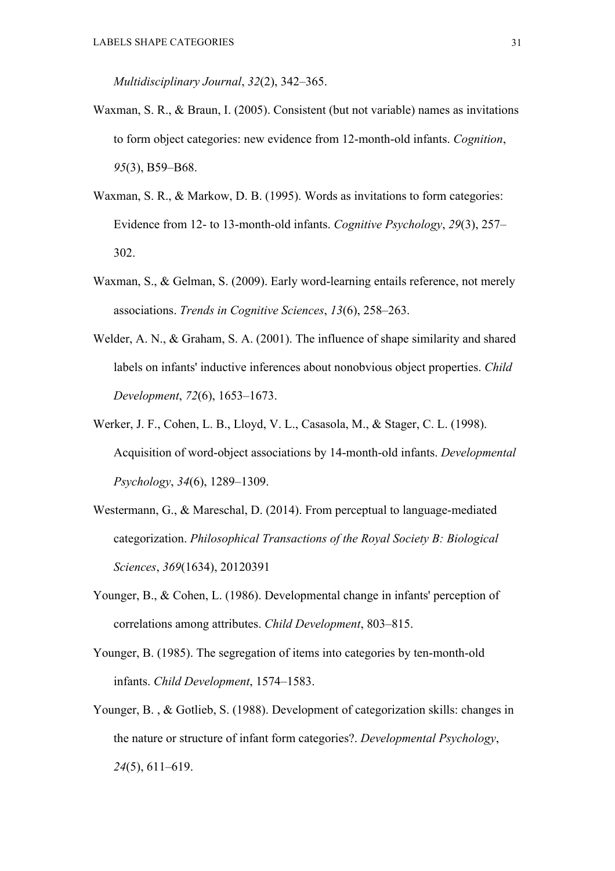*Multidisciplinary Journal*, *32*(2), 342–365.

- Waxman, S. R., & Braun, I. (2005). Consistent (but not variable) names as invitations to form object categories: new evidence from 12-month-old infants. *Cognition*, *95*(3), B59–B68.
- Waxman, S. R., & Markow, D. B. (1995). Words as invitations to form categories: Evidence from 12- to 13-month-old infants. *Cognitive Psychology*, *29*(3), 257– 302.
- Waxman, S., & Gelman, S. (2009). Early word-learning entails reference, not merely associations. *Trends in Cognitive Sciences*, *13*(6), 258–263.
- Welder, A. N., & Graham, S. A. (2001). The influence of shape similarity and shared labels on infants' inductive inferences about nonobvious object properties. *Child Development*, *72*(6), 1653–1673.
- Werker, J. F., Cohen, L. B., Lloyd, V. L., Casasola, M., & Stager, C. L. (1998). Acquisition of word-object associations by 14-month-old infants. *Developmental Psychology*, *34*(6), 1289–1309.
- Westermann, G., & Mareschal, D. (2014). From perceptual to language-mediated categorization. *Philosophical Transactions of the Royal Society B: Biological Sciences*, *369*(1634), 20120391
- Younger, B., & Cohen, L. (1986). Developmental change in infants' perception of correlations among attributes. *Child Development*, 803–815.
- Younger, B. (1985). The segregation of items into categories by ten-month-old infants. *Child Development*, 1574–1583.
- Younger, B., & Gotlieb, S. (1988). Development of categorization skills: changes in the nature or structure of infant form categories?. *Developmental Psychology*, *24*(5), 611–619.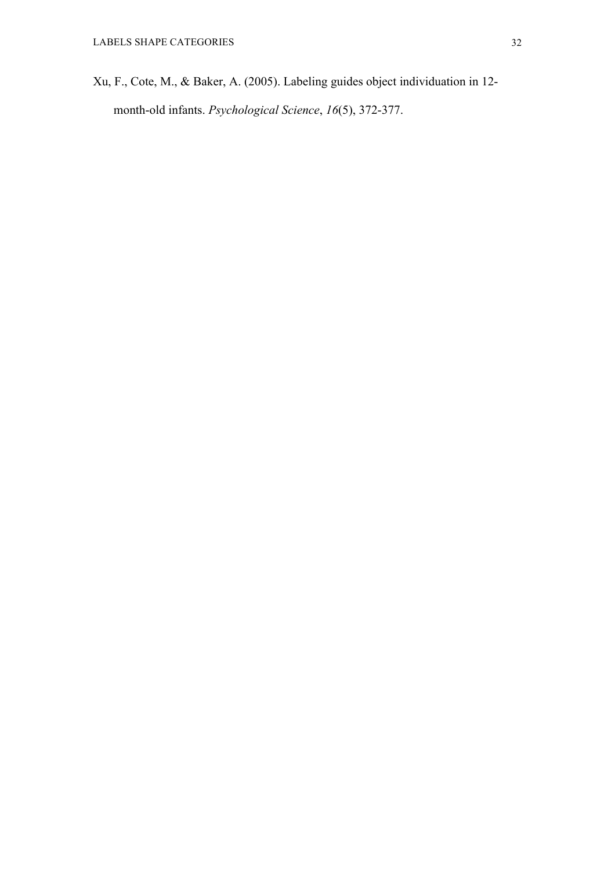Xu, F., Cote, M., & Baker, A. (2005). Labeling guides object individuation in 12 month-old infants. *Psychological Science*, *16*(5), 372-377.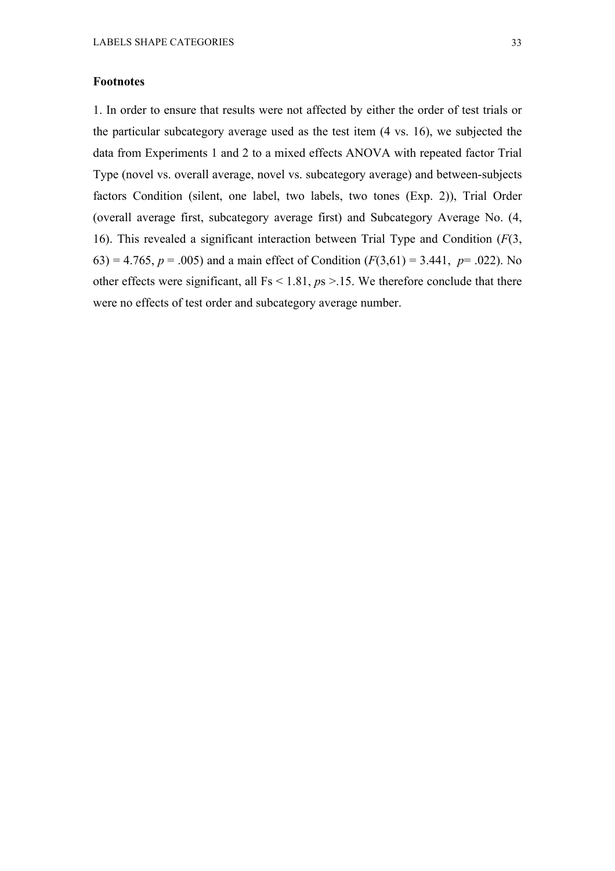### **Footnotes**

1. In order to ensure that results were not affected by either the order of test trials or the particular subcategory average used as the test item (4 vs. 16), we subjected the data from Experiments 1 and 2 to a mixed effects ANOVA with repeated factor Trial Type (novel vs. overall average, novel vs. subcategory average) and between-subjects factors Condition (silent, one label, two labels, two tones (Exp. 2)), Trial Order (overall average first, subcategory average first) and Subcategory Average No. (4, 16). This revealed a significant interaction between Trial Type and Condition (*F*(3, 63) = 4.765,  $p = .005$ ) and a main effect of Condition ( $F(3,61) = 3.441$ ,  $p = .022$ ). No other effects were significant, all Fs < 1.81, *p*s >.15. We therefore conclude that there were no effects of test order and subcategory average number.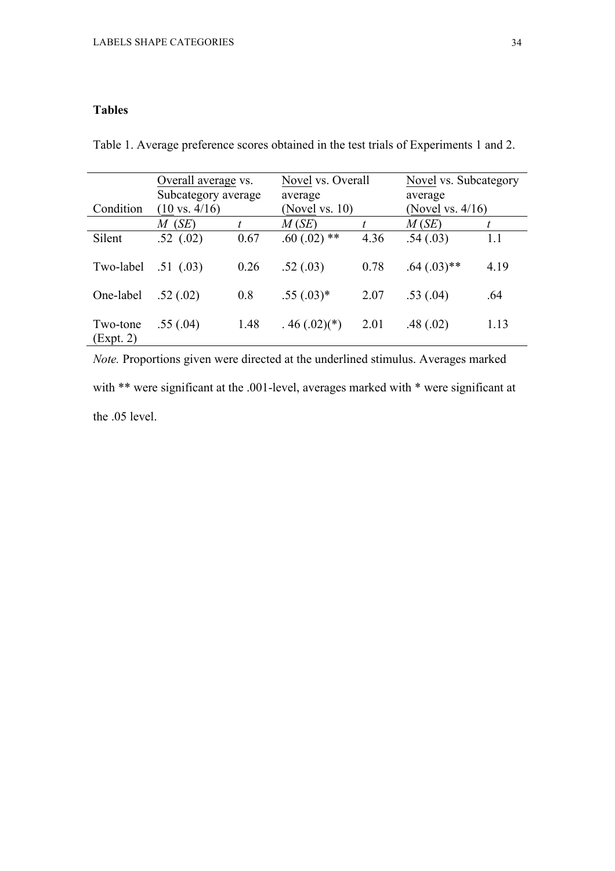## **Tables**

|                       | Overall average vs.<br>Subcategory average |      | Novel vs. Overall<br>average |                | Novel vs. Subcategory<br>average<br>(Novel vs. $4/16$ ) |      |
|-----------------------|--------------------------------------------|------|------------------------------|----------------|---------------------------------------------------------|------|
| Condition             | $(10 \text{ vs. } 4/16)$<br>$M$ (SE)       |      | (Novel vs. $10$ )<br>M(SE)   | $\mathfrak{t}$ | M(SE)                                                   | t    |
| Silent                | .52(.02)                                   | 0.67 | $.60(.02)$ **                | 4.36           | .54(.03)                                                | 1.1  |
| Two-label             | .51(0.03)                                  | 0.26 | .52(.03)                     | 0.78           | $.64 \,(.03)**$                                         | 4.19 |
| One-label             | .52(.02)                                   | 0.8  | $.55(.03)*$                  | 2.07           | .53(.04)                                                | .64  |
| Two-tone<br>(Expt. 2) | .55(.04)                                   | 1.48 | $.46(.02)(*)$                | 2.01           | .48(.02)                                                | 1.13 |

Table 1. Average preference scores obtained in the test trials of Experiments 1 and 2.

*Note.* Proportions given were directed at the underlined stimulus. Averages marked with \*\* were significant at the .001-level, averages marked with \* were significant at the .05 level.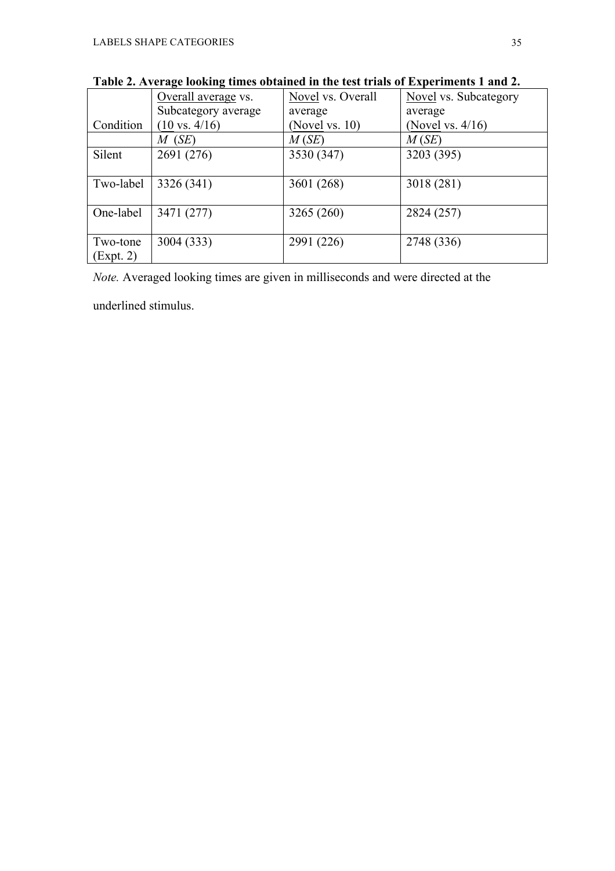|           | Overall average vs.      | Novel vs. Overall | Novel vs. Subcategory |
|-----------|--------------------------|-------------------|-----------------------|
|           | Subcategory average      | average           | average               |
| Condition | $(10 \text{ vs. } 4/16)$ | (Novel vs. $10$ ) | (Novel vs. $4/16$ )   |
|           | $M$ (SE)                 | M(SE)             | M(SE)                 |
| Silent    | 2691 (276)               | 3530 (347)        | 3203 (395)            |
|           |                          |                   |                       |
| Two-label | 3326 (341)               | 3601 (268)        | 3018 (281)            |
|           |                          |                   |                       |
| One-label | 3471 (277)               | 3265 (260)        | 2824 (257)            |
|           |                          |                   |                       |
| Two-tone  | 3004 (333)               | 2991 (226)        | 2748 (336)            |
| (Expt. 2) |                          |                   |                       |

**Table 2. Average looking times obtained in the test trials of Experiments 1 and 2.**

*Note.* Averaged looking times are given in milliseconds and were directed at the

underlined stimulus.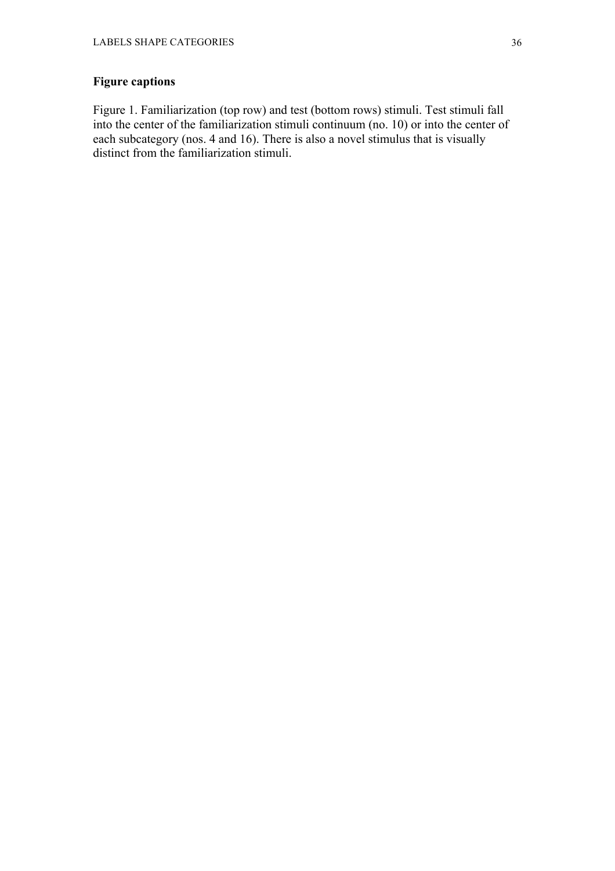## **Figure captions**

Figure 1. Familiarization (top row) and test (bottom rows) stimuli. Test stimuli fall into the center of the familiarization stimuli continuum (no. 10) or into the center of each subcategory (nos. 4 and 16). There is also a novel stimulus that is visually distinct from the familiarization stimuli.